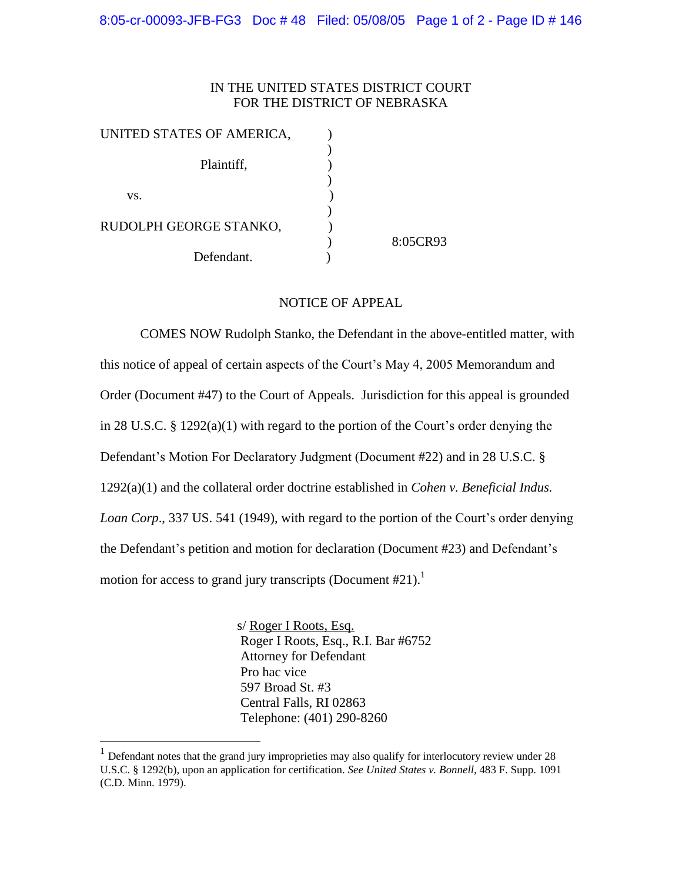## IN THE UNITED STATES DISTRICT COURT FOR THE DISTRICT OF NEBRASKA

| UNITED STATES OF AMERICA, |          |
|---------------------------|----------|
|                           |          |
| Plaintiff,                |          |
|                           |          |
| VS.                       |          |
|                           |          |
| RUDOLPH GEORGE STANKO,    |          |
|                           | 8:05CR93 |
| Defendant.                |          |

## NOTICE OF APPEAL

COMES NOW Rudolph Stanko, the Defendant in the above-entitled matter, with this notice of appeal of certain aspects of the Court's May 4, 2005 Memorandum and Order (Document #47) to the Court of Appeals. Jurisdiction for this appeal is grounded in 28 U.S.C.  $\S$  1292(a)(1) with regard to the portion of the Court's order denying the Defendant's Motion For Declaratory Judgment (Document #22) and in 28 U.S.C. § 1292(a)(1) and the collateral order doctrine established in *Cohen v. Beneficial Indus. Loan Corp.*, 337 US. 541 (1949), with regard to the portion of the Court's order denying the Defendant's petition and motion for declaration (Document #23) and Defendant's motion for access to grand jury transcripts (Document  $#21$ ).<sup>1</sup>

> s/ Roger I Roots, Esq. Roger I Roots, Esq., R.I. Bar #6752 Attorney for Defendant Pro hac vice 597 Broad St. #3 Central Falls, RI 02863 Telephone: (401) 290-8260

<sup>&</sup>lt;sup>1</sup> Defendant notes that the grand jury improprieties may also qualify for interlocutory review under 28 U.S.C. § 1292(b), upon an application for certification. *See United States v. Bonnell*, 483 F. Supp. 1091 (C.D. Minn. 1979).